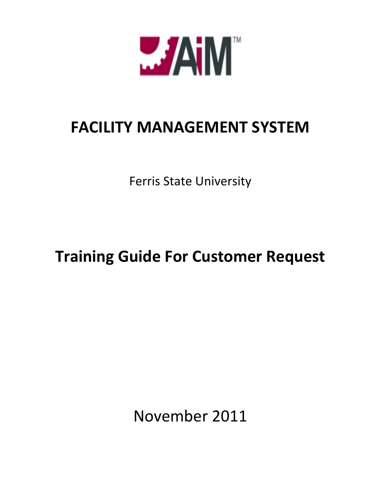

## **FACILITY MANAGEMENT SYSTEM**

Ferris State University

## **Training Guide For Customer Request**

November 2011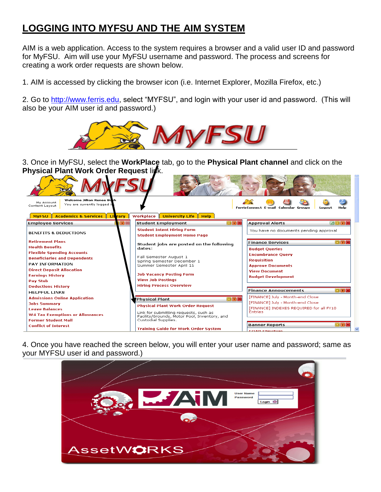## **LOGGING INTO MYFSU AND THE AIM SYSTEM**

AIM is a web application. Access to the system requires a browser and a valid user ID and password for MyFSU. Aim will use your MyFSU username and password. The process and screens for creating a work order requests are shown below.

1. AIM is accessed by clicking the browser icon (i.e. Internet Explorer, Mozilla Firefox, etc.)

2. Go to [http://www.ferris.edu,](http://www.ferris.edu/) select "MYFSU", and login with your user id and password. (This will also be your AIM user id and password.)



3. Once in MyFSU, select the **WorkPlace** tab, go to the **Physical Plant channel** and click on the **Physical Plant Work Order Request link.** 

| Welcome Jillian Renee Bush<br>My Account<br>You are currently logged if<br>Content Layout                                                                                                                                                 |                                                                                                                                                                                                       | FerrisConnect E-mail Calendar Groups<br>Logout                                                                                                                                                    |
|-------------------------------------------------------------------------------------------------------------------------------------------------------------------------------------------------------------------------------------------|-------------------------------------------------------------------------------------------------------------------------------------------------------------------------------------------------------|---------------------------------------------------------------------------------------------------------------------------------------------------------------------------------------------------|
| MyFSU   Academics & Services   Literary<br>学区<br><b>Employee Services</b>                                                                                                                                                                 | Workplace   University Life   Help<br>$\Box$ $\Box$ $\times$<br><b>Student Employment</b>                                                                                                             | <b>Approval Alerts</b><br><b>ZOF</b>                                                                                                                                                              |
| <b>BENEFITS &amp; DEDUCTIONS</b>                                                                                                                                                                                                          | <b>Student Intent Hiring Form</b><br><b>Student Employment Home Page</b>                                                                                                                              | You have no documents pending approval                                                                                                                                                            |
| <b>Retirement Plans</b><br><b>Health Benefits</b><br><b>Flexible Spending Accounts</b><br><b>Beneficiaries and Dependents</b><br><b>PAY INFORMATION</b><br><b>Direct Deposit Allocation</b><br><b>Earnings History</b><br><b>Pav Stub</b> | Student jobs are posted on the following<br>dates:<br>Fall Semester August 1<br>Spring Semester December 1<br>Summer Semester April 15<br><b>Job Vacancy Posting Form</b><br><b>View Job Postings</b> | <b>ロマメ</b><br><b>Finance Services</b><br><b>Budget Queries</b><br><b>Encumbrance Ouerv</b><br><b>Requisition</b><br><b>Approve Documents</b><br><b>View Document</b><br><b>Budget Development</b> |
| <b>Deductions History</b><br><b>HELPFUL LINKS</b>                                                                                                                                                                                         | <b>Hiring Process Overview</b>                                                                                                                                                                        | $\Box$ FIX<br><b>Finance Annoucements</b>                                                                                                                                                         |
| <b>Admissions Online Application</b><br><b>Jobs Summary</b><br><b>Leave Balances</b><br><b>W4 Tax Exemptions or Allowances</b><br><b>Former Student Mail</b>                                                                              | 回国区<br><b>Physical Plant</b><br><b>Physical Plant Work Order Request</b><br>Link for submitting requests, such as<br>Facility/Grounds, Motor Pool, Inventory, and<br>Custodial Supplies.              | [FINANCE] July - Month-end Close<br><b>FFINANCET July - Month-end Close</b><br>[FINANCE] INDEXES REQUIRED for all FY10<br><b>Entries</b>                                                          |
| <b>Conflict of Interest</b>                                                                                                                                                                                                               | <b>Training Guide for Work Order System</b>                                                                                                                                                           | <b>Banner Reports</b><br>□序<br><b>COAD Chainhous</b>                                                                                                                                              |

4. Once you have reached the screen below, you will enter your user name and password; same as your MYFSU user id and password.)

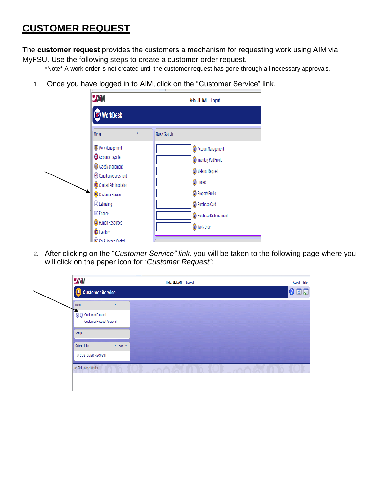## **CUSTOMER REQUEST**

The **customer request** provides the customers a mechanism for requesting work using AIM via MyFSU. Use the following steps to create a customer order request.

\*Note\* A work order is not created until the customer request has gone through all necessary approvals.

1. Once you have logged in to AIM, click on the "Customer Service" link.

2. After clicking on the "*Customer Service" link,* you will be taken to the following page where you will click on the paper icon for "*Customer Request*":

| <b>O</b> Customer Service<br>Menu<br>$\pmb{\Lambda}$<br>Customer Request Approval<br>Setup<br>$\mathbf{m}$<br>$^{\prime}$ edit x | O CUSTOMER REQUEST  | <b>JAIM</b> | Hello, JILLIAN Logout | About Help                                                        |
|----------------------------------------------------------------------------------------------------------------------------------|---------------------|-------------|-----------------------|-------------------------------------------------------------------|
|                                                                                                                                  |                     |             |                       | $\overline{\textbf{0}}$ $\overline{\textbf{c}}$<br>$\overline{0}$ |
| п.<br>Customer Request<br><b>Quick Links</b>                                                                                     | (c) 2011 AssetWorks |             |                       |                                                                   |
|                                                                                                                                  |                     |             |                       |                                                                   |
|                                                                                                                                  |                     |             |                       |                                                                   |
|                                                                                                                                  |                     |             |                       |                                                                   |
|                                                                                                                                  |                     |             |                       |                                                                   |